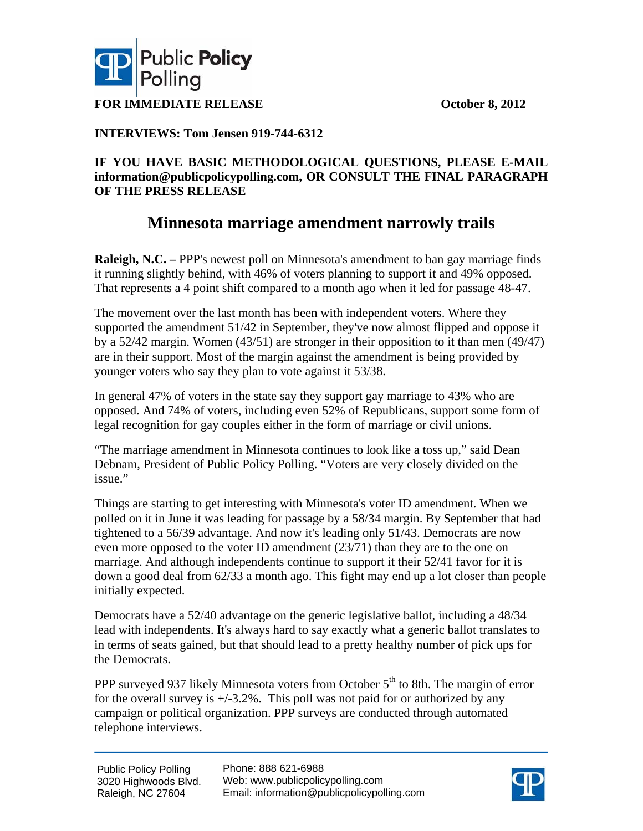

**FOR IMMEDIATE RELEASE October 8, 2012** 

## **INTERVIEWS: Tom Jensen 919-744-6312**

### **IF YOU HAVE BASIC METHODOLOGICAL QUESTIONS, PLEASE E-MAIL information@publicpolicypolling.com, OR CONSULT THE FINAL PARAGRAPH OF THE PRESS RELEASE**

# **Minnesota marriage amendment narrowly trails**

**Raleigh, N.C. –** PPP's newest poll on Minnesota's amendment to ban gay marriage finds it running slightly behind, with 46% of voters planning to support it and 49% opposed. That represents a 4 point shift compared to a month ago when it led for passage 48-47.

The movement over the last month has been with independent voters. Where they supported the amendment 51/42 in September, they've now almost flipped and oppose it by a 52/42 margin. Women (43/51) are stronger in their opposition to it than men (49/47) are in their support. Most of the margin against the amendment is being provided by younger voters who say they plan to vote against it 53/38.

In general 47% of voters in the state say they support gay marriage to 43% who are opposed. And 74% of voters, including even 52% of Republicans, support some form of legal recognition for gay couples either in the form of marriage or civil unions.

"The marriage amendment in Minnesota continues to look like a toss up," said Dean Debnam, President of Public Policy Polling. "Voters are very closely divided on the issue."

Things are starting to get interesting with Minnesota's voter ID amendment. When we polled on it in June it was leading for passage by a 58/34 margin. By September that had tightened to a 56/39 advantage. And now it's leading only 51/43. Democrats are now even more opposed to the voter ID amendment (23/71) than they are to the one on marriage. And although independents continue to support it their 52/41 favor for it is down a good deal from 62/33 a month ago. This fight may end up a lot closer than people initially expected.

Democrats have a 52/40 advantage on the generic legislative ballot, including a 48/34 lead with independents. It's always hard to say exactly what a generic ballot translates to in terms of seats gained, but that should lead to a pretty healthy number of pick ups for the Democrats.

PPP surveyed 937 likely Minnesota voters from October  $5<sup>th</sup>$  to 8th. The margin of error for the overall survey is  $+/-3.2\%$ . This poll was not paid for or authorized by any campaign or political organization. PPP surveys are conducted through automated telephone interviews.

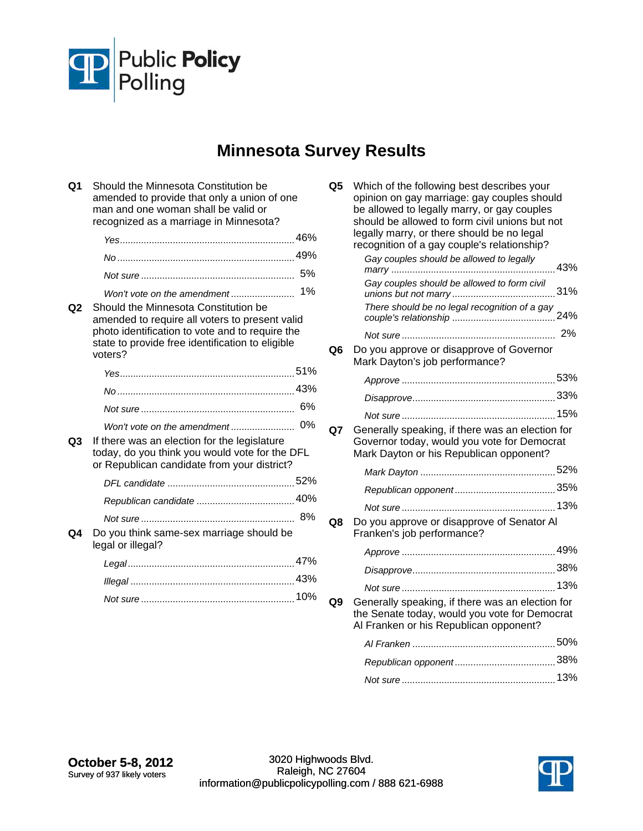

# **Minnesota Survey Results**

| Q1             | Should the Minnesota Constitution be<br>amended to provide that only a union of one<br>man and one woman shall be valid or<br>recognized as a marriage in Minnesota?                                     |    |
|----------------|----------------------------------------------------------------------------------------------------------------------------------------------------------------------------------------------------------|----|
|                |                                                                                                                                                                                                          |    |
|                |                                                                                                                                                                                                          |    |
|                |                                                                                                                                                                                                          | 5% |
|                | Won't vote on the amendment                                                                                                                                                                              | 1% |
| Q <sub>2</sub> | Should the Minnesota Constitution be<br>amended to require all voters to present valid<br>photo identification to vote and to require the<br>state to provide free identification to eligible<br>voters? |    |
|                |                                                                                                                                                                                                          |    |
|                |                                                                                                                                                                                                          |    |
|                |                                                                                                                                                                                                          | 6% |
|                | Won't vote on the amendment                                                                                                                                                                              | 0% |
| Q3             | If there was an election for the legislature<br>today, do you think you would vote for the DFL<br>or Republican candidate from your district?                                                            |    |
|                |                                                                                                                                                                                                          |    |
|                |                                                                                                                                                                                                          |    |
|                |                                                                                                                                                                                                          | 8% |
| Q4             | Do you think same-sex marriage should be<br>legal or illegal?                                                                                                                                            |    |
|                |                                                                                                                                                                                                          |    |
|                |                                                                                                                                                                                                          |    |
|                |                                                                                                                                                                                                          |    |
|                |                                                                                                                                                                                                          |    |

| Q5 | Which of the following best describes your<br>opinion on gay marriage: gay couples should<br>be allowed to legally marry, or gay couples<br>should be allowed to form civil unions but not<br>legally marry, or there should be no legal<br>recognition of a gay couple's relationship?<br>Gay couples should be allowed to legally |     |
|----|-------------------------------------------------------------------------------------------------------------------------------------------------------------------------------------------------------------------------------------------------------------------------------------------------------------------------------------|-----|
|    |                                                                                                                                                                                                                                                                                                                                     | 43% |
|    | Gay couples should be allowed to form civil                                                                                                                                                                                                                                                                                         |     |
|    |                                                                                                                                                                                                                                                                                                                                     |     |
|    |                                                                                                                                                                                                                                                                                                                                     |     |
| Q6 | Do you approve or disapprove of Governor<br>Mark Dayton's job performance?                                                                                                                                                                                                                                                          |     |
|    |                                                                                                                                                                                                                                                                                                                                     |     |
|    |                                                                                                                                                                                                                                                                                                                                     |     |
|    |                                                                                                                                                                                                                                                                                                                                     |     |
| Q7 | Generally speaking, if there was an election for<br>Governor today, would you vote for Democrat<br>Mark Dayton or his Republican opponent?                                                                                                                                                                                          |     |
|    |                                                                                                                                                                                                                                                                                                                                     |     |
|    |                                                                                                                                                                                                                                                                                                                                     |     |
|    |                                                                                                                                                                                                                                                                                                                                     |     |
| Q8 | Do you approve or disapprove of Senator Al<br>Franken's job performance?                                                                                                                                                                                                                                                            |     |
|    |                                                                                                                                                                                                                                                                                                                                     |     |
|    |                                                                                                                                                                                                                                                                                                                                     |     |
|    |                                                                                                                                                                                                                                                                                                                                     |     |
| Q9 | Generally speaking, if there was an election for<br>the Senate today, would you vote for Democrat<br>Al Franken or his Republican opponent?                                                                                                                                                                                         |     |
|    |                                                                                                                                                                                                                                                                                                                                     |     |
|    |                                                                                                                                                                                                                                                                                                                                     |     |
|    |                                                                                                                                                                                                                                                                                                                                     |     |

*Not sure* 13% ..........................................................

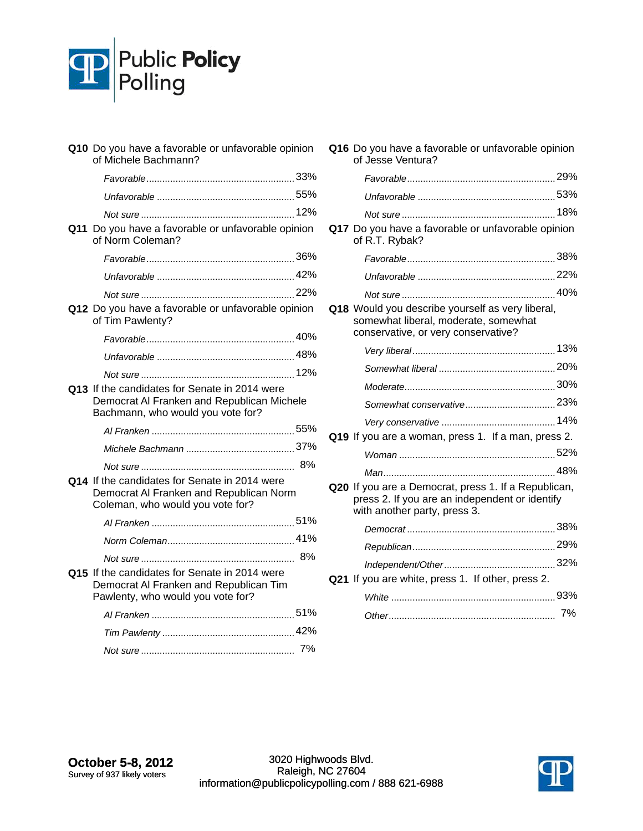

| Q10 Do you have a favorable or unfavorable opinion<br>of Michele Bachmann?                                                       |    |
|----------------------------------------------------------------------------------------------------------------------------------|----|
|                                                                                                                                  |    |
|                                                                                                                                  |    |
|                                                                                                                                  |    |
| Q11 Do you have a favorable or unfavorable opinion<br>of Norm Coleman?                                                           |    |
|                                                                                                                                  |    |
|                                                                                                                                  |    |
|                                                                                                                                  |    |
| Q12 Do you have a favorable or unfavorable opinion<br>of Tim Pawlenty?                                                           |    |
|                                                                                                                                  |    |
|                                                                                                                                  |    |
|                                                                                                                                  |    |
| Q13 If the candidates for Senate in 2014 were<br>Democrat AI Franken and Republican Michele<br>Bachmann, who would you vote for? |    |
|                                                                                                                                  |    |
|                                                                                                                                  |    |
|                                                                                                                                  |    |
| Q14 If the candidates for Senate in 2014 were<br>Democrat AI Franken and Republican Norm<br>Coleman, who would you vote for?     |    |
|                                                                                                                                  |    |
|                                                                                                                                  |    |
|                                                                                                                                  |    |
| Q15 If the candidates for Senate in 2014 were<br>Democrat AI Franken and Republican Tim<br>Pawlenty, who would you vote for?     |    |
|                                                                                                                                  |    |
|                                                                                                                                  |    |
|                                                                                                                                  | 7% |

| Q16 Do you have a favorable or unfavorable opinion<br>of Jesse Ventura?                                                                |  |
|----------------------------------------------------------------------------------------------------------------------------------------|--|
|                                                                                                                                        |  |
|                                                                                                                                        |  |
|                                                                                                                                        |  |
| Q17 Do you have a favorable or unfavorable opinion<br>of R.T. Rybak?                                                                   |  |
|                                                                                                                                        |  |
|                                                                                                                                        |  |
|                                                                                                                                        |  |
| Q18 Would you describe yourself as very liberal,<br>somewhat liberal, moderate, somewhat<br>conservative, or very conservative?        |  |
|                                                                                                                                        |  |
|                                                                                                                                        |  |
|                                                                                                                                        |  |
|                                                                                                                                        |  |
|                                                                                                                                        |  |
| Q19 If you are a woman, press 1. If a man, press 2.                                                                                    |  |
|                                                                                                                                        |  |
|                                                                                                                                        |  |
| Q20 If you are a Democrat, press 1. If a Republican,<br>press 2. If you are an independent or identify<br>with another party, press 3. |  |
|                                                                                                                                        |  |
|                                                                                                                                        |  |
|                                                                                                                                        |  |
| Q21 If you are white, press 1. If other, press 2.                                                                                      |  |
|                                                                                                                                        |  |
|                                                                                                                                        |  |
|                                                                                                                                        |  |

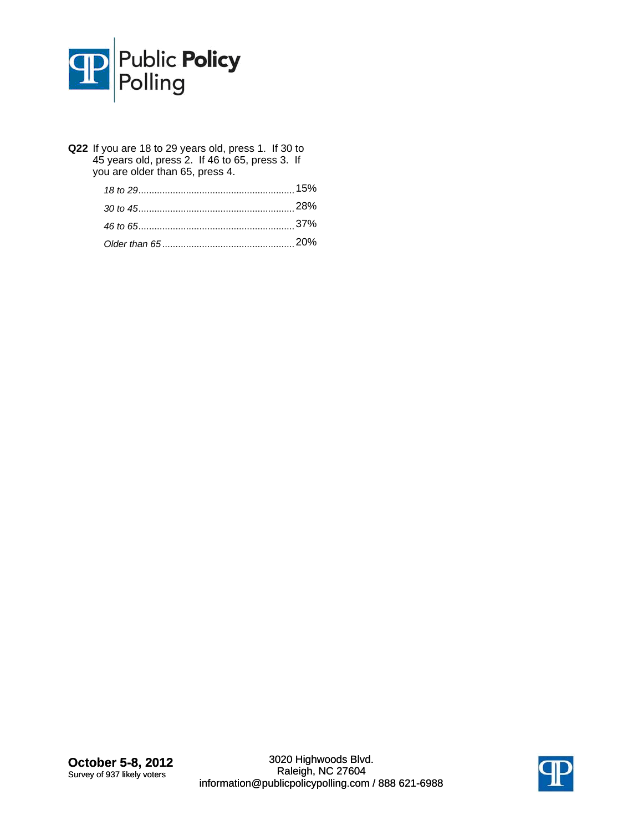

#### **Q22** If you are 18 to 29 years old, press 1. If 30 to 45 years old, press 2. If 46 to 65, press 3. If you are older than 65, press 4.

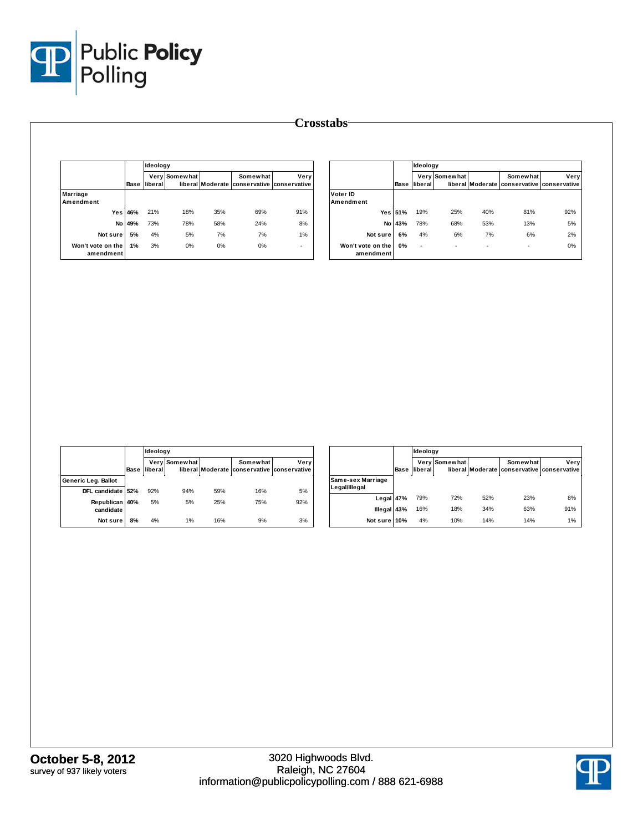

|                                |             |         | Ideology      |     |                                                               |      |  |  |
|--------------------------------|-------------|---------|---------------|-----|---------------------------------------------------------------|------|--|--|
|                                | <b>Base</b> | liberal | Very Somewhat |     | <b>Somewhat</b><br>liberal Moderate conservative conservative | Very |  |  |
| Marriage<br>Amendment          |             |         |               |     |                                                               |      |  |  |
| Yes l                          | 46%         | 21%     | 18%           | 35% | 69%                                                           | 91%  |  |  |
| No                             | 49%         | 73%     | 78%           | 58% | 24%                                                           | 8%   |  |  |
| Not sure                       | 5%          | 4%      | 5%            | 7%  | 7%                                                            | 1%   |  |  |
| Won't vote on the<br>amendment | 1%          | 3%      | 0%            | 0%  | 0%                                                            | ٠    |  |  |

|                                |                |         | Ideology      |     |                                                        |      |  |  |
|--------------------------------|----------------|---------|---------------|-----|--------------------------------------------------------|------|--|--|
|                                | Base           | liberal | Very Somewhat |     | Somewhat<br>liberal Moderate conservative conservative | Very |  |  |
| Voter ID<br>Amendment          |                |         |               |     |                                                        |      |  |  |
|                                | <b>Yes 51%</b> | 19%     | 25%           | 40% | 81%                                                    | 92%  |  |  |
| No l                           | 43%            | 78%     | 68%           | 53% | 13%                                                    | 5%   |  |  |
| Not sure                       | 6%             | 4%      | 6%            | 7%  | 6%                                                     | 2%   |  |  |
| Won't vote on the<br>amendment | 0%             | ٠       |               |     |                                                        | 0%   |  |  |

|                             |             | Ideology |               |     |                                                        |      |  |
|-----------------------------|-------------|----------|---------------|-----|--------------------------------------------------------|------|--|
|                             | <b>Base</b> | liberal  | Very Somewhat |     | Somewhat<br>liberal Moderate conservative conservative | Very |  |
| Generic Leg. Ballot         |             |          |               |     |                                                        |      |  |
| DFL candidate 52%           |             | 92%      | 94%           | 59% | 16%                                                    | 5%   |  |
| Republican 40%<br>candidate |             | 5%       | 5%            | 25% | 75%                                                    | 92%  |  |
| Not sure                    | 8%          | 4%       | 1%            | 16% | 9%                                                     | 3%   |  |

|                                    |      |         | Ideology      |     |                                                        |      |  |  |
|------------------------------------|------|---------|---------------|-----|--------------------------------------------------------|------|--|--|
|                                    | Base | liberal | Very Somewhat |     | Somewhat<br>liberal Moderate conservative conservative | Verv |  |  |
| Same-sex Marriage<br>Legal/Illegal |      |         |               |     |                                                        |      |  |  |
| Legal 47%                          |      | 79%     | 72%           | 52% | 23%                                                    | 8%   |  |  |
| Illegal 43%                        |      | 16%     | 18%           | 34% | 63%                                                    | 91%  |  |  |
| Not sure 10%                       |      | 4%      | 10%           | 14% | 14%                                                    | 1%   |  |  |

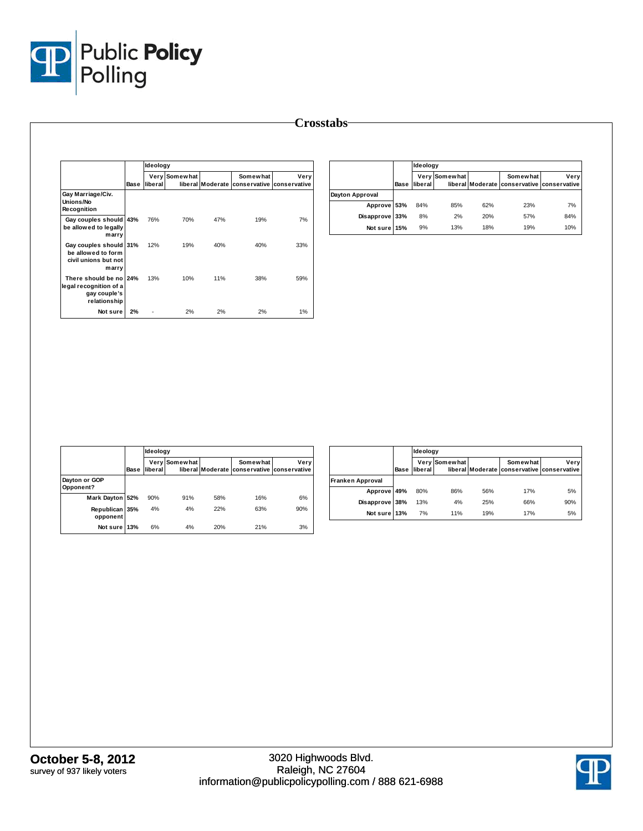

|                                                                                  |      | <b>Ideology</b> |               |     |                                                               |      |
|----------------------------------------------------------------------------------|------|-----------------|---------------|-----|---------------------------------------------------------------|------|
|                                                                                  | Base | liberal         | Very Somewhat |     | <b>Somewhat</b><br>liberal Moderate conservative conservative | Very |
| Gay Marriage/Civ.<br>Unions/No<br>Recognition                                    |      |                 |               |     |                                                               |      |
| Gay couples should 43%<br>be allowed to legally<br>marry                         |      | 76%             | 70%           | 47% | 19%                                                           | 7%   |
| Gay couples should 31%<br>be allowed to form<br>civil unions but not<br>marry    |      | 12%             | 19%           | 40% | 40%                                                           | 33%  |
| There should be no 24%<br>legal recognition of a<br>gay couple's<br>relationship |      | 13%             | 10%           | 11% | 38%                                                           | 59%  |
| Not sure                                                                         | 2%   |                 | 2%            | 2%  | 2%                                                            | 1%   |

|                 |      |                | Ideology      |     |                                                        |      |  |
|-----------------|------|----------------|---------------|-----|--------------------------------------------------------|------|--|
|                 | Base | <b>liberal</b> | Very Somewhat |     | Somewhat<br>liberal Moderate conservative conservative | Very |  |
| Dayton Approval |      |                |               |     |                                                        |      |  |
| Approve 53%     |      | 84%            | 85%           | 62% | 23%                                                    | 7%   |  |
| Disapprove 33%  |      | 8%             | 2%            | 20% | 57%                                                    | 84%  |  |
| Not sure 15%    |      | 9%             | 13%           | 18% | 19%                                                    | 10%  |  |

|                            |      | Ideology |               |     |                                                        |      |
|----------------------------|------|----------|---------------|-----|--------------------------------------------------------|------|
|                            | Base | liberal  | Very Somewhat |     | Somewhat<br>liberal Moderate conservative conservative | Very |
| Dayton or GOP<br>Opponent? |      |          |               |     |                                                        |      |
| Mark Dayton 52%            |      | 90%      | 91%           | 58% | 16%                                                    | 6%   |
| Republican 35%<br>opponent |      | 4%       | 4%            | 22% | 63%                                                    | 90%  |
| Not sure                   | 13%  | 6%       | 4%            | 20% | 21%                                                    | 3%   |

|                         |      |         | Ideology      |     |                                                        |      |  |
|-------------------------|------|---------|---------------|-----|--------------------------------------------------------|------|--|
|                         | Base | liberal | Very Somewhat |     | Somewhat<br>liberal Moderate conservative conservative | Very |  |
| <b>Franken Approval</b> |      |         |               |     |                                                        |      |  |
| Approve 49%             |      | 80%     | 86%           | 56% | 17%                                                    | 5%   |  |
| Disapprove 38%          |      | 13%     | 4%            | 25% | 66%                                                    | 90%  |  |
| Not sure 13%            |      | 7%      | 11%           | 19% | 17%                                                    | 5%   |  |

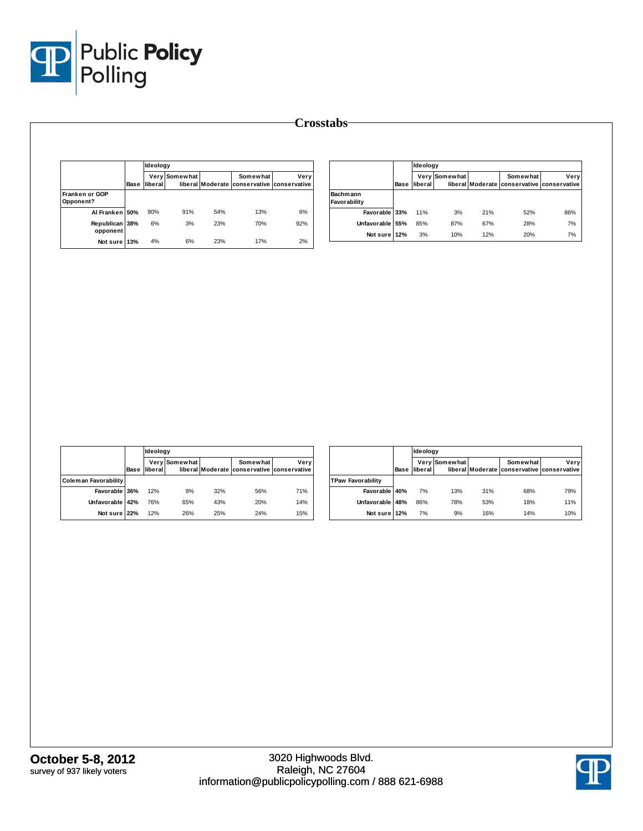

|                             |      |         | Ideology      |     |                                                        |      |  |  |
|-----------------------------|------|---------|---------------|-----|--------------------------------------------------------|------|--|--|
|                             | Base | liberal | Very Somewhat |     | Somewhat<br>liberal Moderate conservative conservative | Very |  |  |
| Franken or GOP<br>Opponent? |      |         |               |     |                                                        |      |  |  |
| Al Franken 50%              |      | 90%     | 91%           | 54% | 13%                                                    | 6%   |  |  |
| Republican 38%<br>opponent  |      | 6%      | 3%            | 23% | 70%                                                    | 92%  |  |  |
| Not sure 13%                |      | 4%      | 6%            | 23% | 17%                                                    | 2%   |  |  |

|                                 |      | Ideology |               |     |                                                        |      |  |
|---------------------------------|------|----------|---------------|-----|--------------------------------------------------------|------|--|
|                                 | Base | liberal  | Very Somewhat |     | Somewhat<br>liberal Moderate conservative conservative | Very |  |
| <b>Bachmann</b><br>Favorability |      |          |               |     |                                                        |      |  |
| Favorable 33%                   |      | 11%      | 3%            | 21% | 52%                                                    | 86%  |  |
| Unfavorable 55%                 |      | 85%      | 87%           | 67% | 28%                                                    | 7%   |  |
| Not sure 12%                    |      | 3%       | 10%           | 12% | 20%                                                    | 7%   |  |

|                      |             |         | Ideology      |     |                                                        |      |  |  |
|----------------------|-------------|---------|---------------|-----|--------------------------------------------------------|------|--|--|
|                      | <b>Base</b> | liberal | Very Somewhat |     | Somewhat<br>liberal Moderate conservative conservative | Very |  |  |
| Coleman Favorability |             |         |               |     |                                                        |      |  |  |
| Favorable 36%        |             | 12%     | 9%            | 32% | 56%                                                    | 71%  |  |  |
| Unfavorable 42%      |             | 76%     | 65%           | 43% | 20%                                                    | 14%  |  |  |
| Not sure 22%         |             | 12%     | 26%           | 25% | 24%                                                    | 15%  |  |  |

|                          |      |         | Ideology      |     |                                                        |      |  |  |
|--------------------------|------|---------|---------------|-----|--------------------------------------------------------|------|--|--|
|                          | Base | liberal | Very Somewhat |     | Somewhat<br>liberal Moderate conservative conservative | Verv |  |  |
| <b>TPaw Favorability</b> |      |         |               |     |                                                        |      |  |  |
| Favorable 40%            |      | 7%      | 13%           | 31% | 68%                                                    | 79%  |  |  |
| Unfavorable              | 48%  | 86%     | 78%           | 53% | 18%                                                    | 11%  |  |  |
| Not sure 12%             |      | 7%      | 9%            | 16% | 14%                                                    | 10%  |  |  |

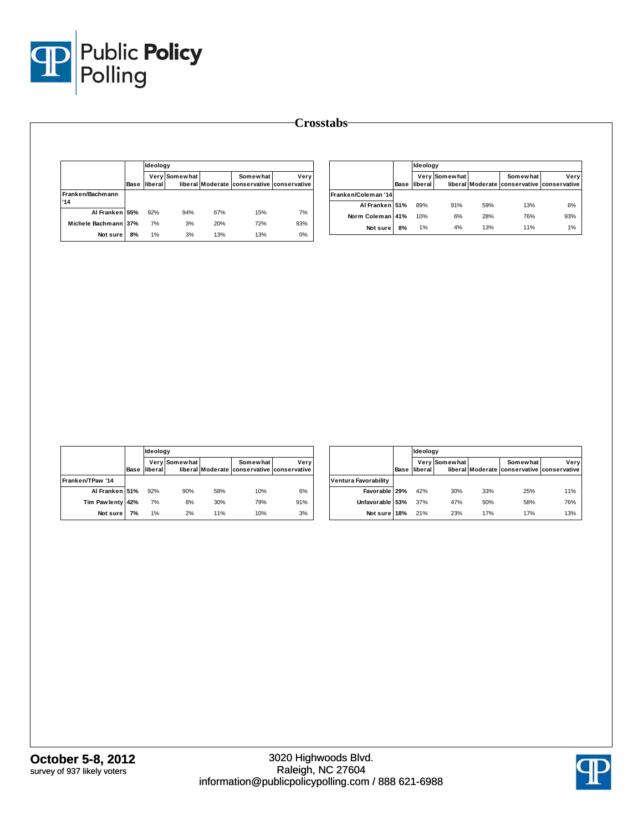

|                         |      | Ideology |               |     |                                                        |      |
|-------------------------|------|----------|---------------|-----|--------------------------------------------------------|------|
|                         | Base | liberal  | Very Somewhat |     | Somewhat<br>liberal Moderate conservative conservative | Very |
| Franken/Bachmann<br>'14 |      |          |               |     |                                                        |      |
| Al Franken 55%          |      | 92%      | 94%           | 67% | 15%                                                    | 7%   |
| Michele Bachmann 37%    |      | 7%       | 3%            | 20% | 72%                                                    | 93%  |
| Not sure                | 8%   | 1%       | 3%            | 13% | 13%                                                    | 0%   |

|                     |      | Ideology |               |     |                                                        |      |  |
|---------------------|------|----------|---------------|-----|--------------------------------------------------------|------|--|
|                     | Base | liberal  | Very Somewhat |     | Somewhat<br>liberal Moderate conservative conservative | Verv |  |
| Franken/Coleman '14 |      |          |               |     |                                                        |      |  |
| Al Franken 51%      |      | 89%      | 91%           | 59% | 13%                                                    | 6%   |  |
| Norm Coleman 41%    |      | 10%      | 6%            | 28% | 76%                                                    | 93%  |  |
| Not sure            | 8%   | 1%       | 4%            | 13% | 11%                                                    | 1%   |  |

|                  |             |                | Ideology      |     |                                                        |      |  |  |
|------------------|-------------|----------------|---------------|-----|--------------------------------------------------------|------|--|--|
|                  | <b>Base</b> | <b>liberal</b> | Very Somewhat |     | Somewhat<br>liberal Moderate conservative conservative | Very |  |  |
| Franken/TPaw '14 |             |                |               |     |                                                        |      |  |  |
| Al Franken 51%   |             | 92%            | 90%           | 58% | 10%                                                    | 6%   |  |  |
| Tim Pawlenty 42% |             | 7%             | 8%            | 30% | 79%                                                    | 91%  |  |  |
| Not sure         | 7%          | 1%             | 2%            | 11% | 10%                                                    | 3%   |  |  |

|                      |      |         | Ideology      |     |                                                        |      |  |  |
|----------------------|------|---------|---------------|-----|--------------------------------------------------------|------|--|--|
|                      | Base | liberal | Very Somewhat |     | Somewhat<br>liberal Moderate conservative conservative | Verv |  |  |
| Ventura Favorability |      |         |               |     |                                                        |      |  |  |
| Favorable 29%        |      | 42%     | 30%           | 33% | 25%                                                    | 11%  |  |  |
| Unfavorable 53%      |      | 37%     | 47%           | 50% | 58%                                                    | 76%  |  |  |
| Not sure 18%         |      | 21%     | 23%           | 17% | 17%                                                    | 13%  |  |  |

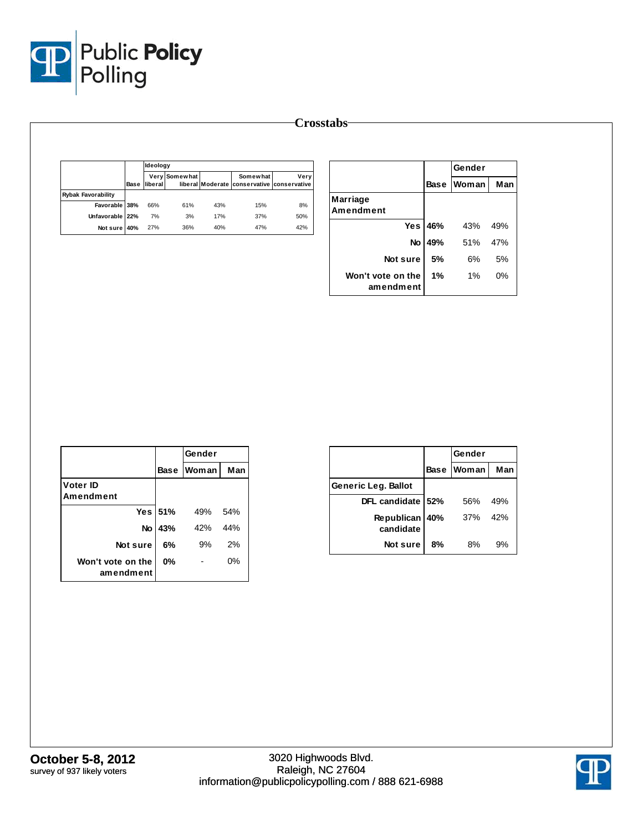

|                           |      |         | Ideology      |     |                                                        |      |  |  |
|---------------------------|------|---------|---------------|-----|--------------------------------------------------------|------|--|--|
|                           | Base | liberal | Very Somewhat |     | Somewhat<br>liberal Moderate conservative conservative | Very |  |  |
| <b>Rybak Favorability</b> |      |         |               |     |                                                        |      |  |  |
| Favorable 38%             |      | 66%     | 61%           | 43% | 15%                                                    | 8%   |  |  |
| Unfavorable 22%           |      | 7%      | 3%            | 17% | 37%                                                    | 50%  |  |  |
| Not sure 40%              |      | 27%     | 36%           | 40% | 47%                                                    | 42%  |  |  |

|                                |             | Gender       |     |
|--------------------------------|-------------|--------------|-----|
|                                | <b>Base</b> | <b>Woman</b> | Man |
| Marriage<br>Amendment          |             |              |     |
|                                | Yes 46%     | 43%          | 49% |
| <b>No</b>                      | 49%         | 51%          | 47% |
| Not sure                       | 5%          | 6%           | 5%  |
| Won't vote on the<br>amendment | 1%          | $1\%$        | 0%  |

|                                |             | Gender |     |
|--------------------------------|-------------|--------|-----|
|                                | <b>Base</b> | Woman  | Man |
| Voter ID<br>Amendment          |             |        |     |
|                                | Yes 51%     | 49%    | 54% |
| <b>No</b>                      | 43%         | 42%    | 44% |
| Not sure                       | 6%          | 9%     | 2%  |
| Won't vote on the<br>amendment | 0%          |        | 0%  |

|                                |             | Gender       |     |  |
|--------------------------------|-------------|--------------|-----|--|
|                                | <b>Base</b> | <b>Woman</b> | Man |  |
| Generic Leg. Ballot            |             |              |     |  |
| <b>DFL</b> candidate           | 52%         | 56%          | 49% |  |
| <b>Republican</b><br>candidate | 40%         | 37%          | 42% |  |
| Not sure                       | 8%          | 8%           | 9%  |  |

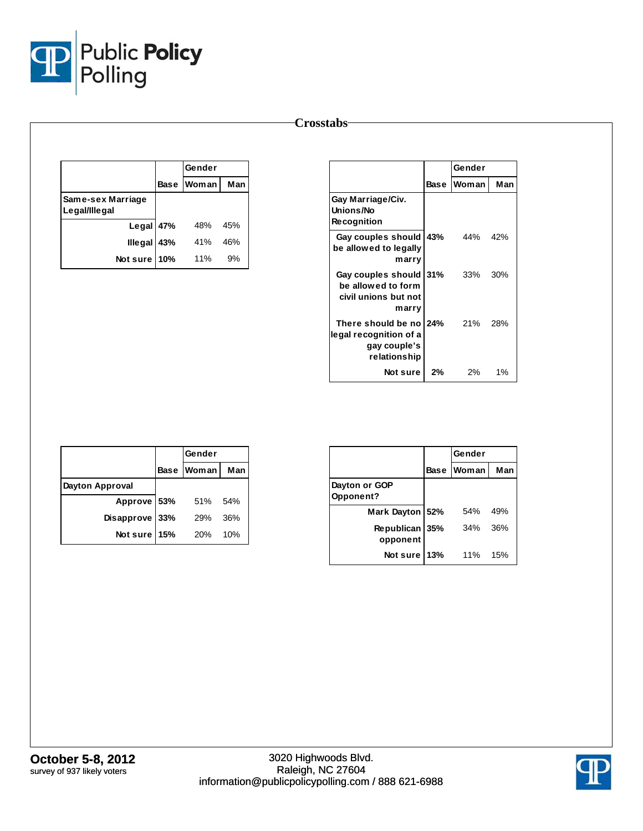

|                                    | Gender     |     |
|------------------------------------|------------|-----|
|                                    | Base Woman | Man |
| Same-sex Marriage<br>Legal/Illegal |            |     |
| Legal 47%                          | 48%        | 45% |
| Illegal $ 43%$                     | 41%        | 46% |
| Not sure 10%                       | 11%        | 9%  |

|                                                                                  |      | Gender       |     |
|----------------------------------------------------------------------------------|------|--------------|-----|
|                                                                                  | Base | <b>Woman</b> | Man |
| Gay Marriage/Civ.<br>Unions/No<br><b>Recognition</b>                             |      |              |     |
| Gay couples should   43%<br>be allowed to legally<br>marry                       |      | 44% 42%      |     |
| Gay couples should 31%<br>be allowed to form<br>civil unions but not<br>marry    |      | 33%          | 30% |
| There should be no 24%<br>legal recognition of a<br>gay couple's<br>relationship |      | 21%          | 28% |
| Notsure                                                                          | 2%   | 2%           | 1%  |

|                 |     | Gender     |       |
|-----------------|-----|------------|-------|
|                 |     | Base Woman | Man l |
| Dayton Approval |     |            |       |
| Approve 53%     |     | 51%        | 54%   |
| Disapprove      | 33% | <b>29%</b> | 36%   |
| Not sure        | 15% | 20%        | 10%   |

|                            |     | Gender     |     |  |
|----------------------------|-----|------------|-----|--|
|                            |     | Base Woman | Man |  |
| Dayton or GOP<br>Opponent? |     |            |     |  |
| Mark Dayton   52%          |     | 54%        | 49% |  |
| Republican 35%<br>opponent |     | 34%        | 36% |  |
| Not sure                   | 13% | 11%        | 15% |  |

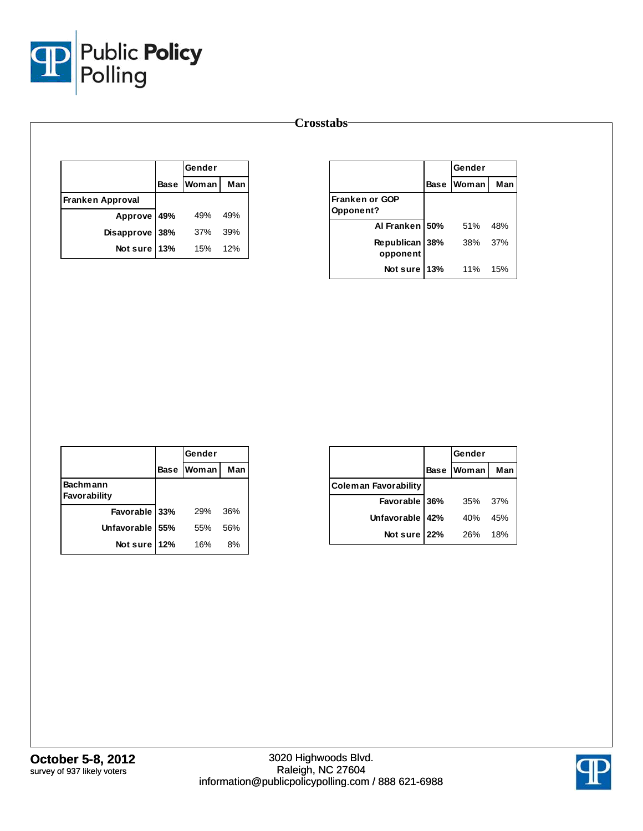

|                         |     | Gender     |     |
|-------------------------|-----|------------|-----|
|                         |     | Base Woman | Man |
| <b>Franken Approval</b> |     |            |     |
| Approve 49%             |     | 49%        | 49% |
| Disapprove 38%          |     | 37%        | 39% |
| Not sure                | 13% | 15%        | 12% |

|                             |             | Gender       |     |  |
|-----------------------------|-------------|--------------|-----|--|
|                             | <b>Base</b> | <b>Woman</b> | Man |  |
| Franken or GOP<br>Opponent? |             |              |     |  |
| Al Franken   50%            |             | 51%          | 48% |  |
| Republican 38%<br>opponent  |             | 38%          | 37% |  |
| Not sure 13%                |             | 11%          | 15% |  |

|                                 |             | Gender       |     |
|---------------------------------|-------------|--------------|-----|
|                                 | <b>Base</b> | <b>Woman</b> | Man |
| <b>Bachmann</b><br>Favorability |             |              |     |
| Favorable 33%                   |             | 29%          | 36% |
| <b>Unfavorable</b>              | 55%         | 55%          | 56% |
| Not sure                        | 12%         | 16%          | 8%  |

|                             |             | Gender |     |  |
|-----------------------------|-------------|--------|-----|--|
|                             | <b>Base</b> | Woman  | Man |  |
| <b>Coleman Favorability</b> |             |        |     |  |
| Favorable 36%               |             | 35%    | 37% |  |
| Unfavorable   42%           |             | 40%    | 45% |  |
| Not sure                    | 22%         | 26%    | 18% |  |

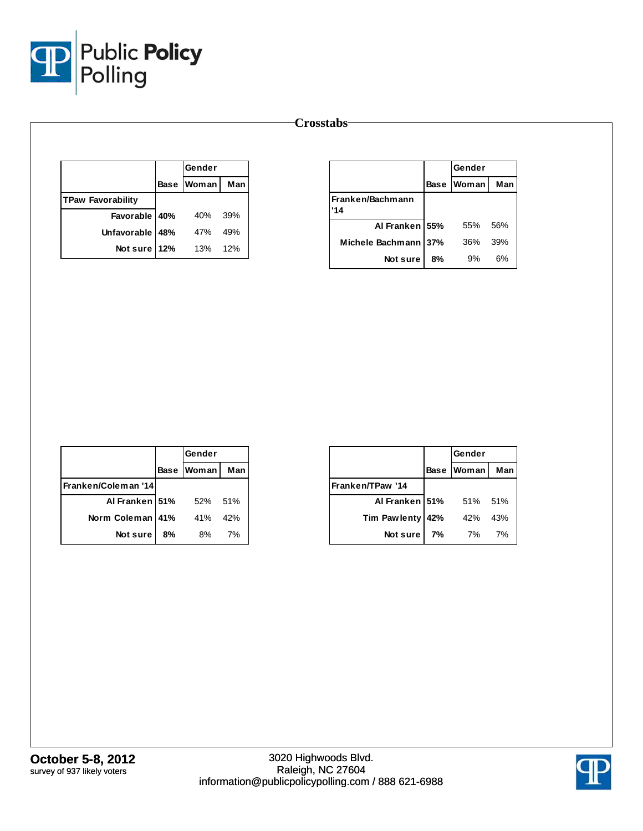

|                          |     | Gender       |     |
|--------------------------|-----|--------------|-----|
|                          |     | Base   Woman | Man |
| <b>TPaw Favorability</b> |     |              |     |
| Favorable 40%            |     | 40%          | 39% |
| Unfavorable 48%          |     | 47%          | 49% |
| Not sure                 | 12% | 13%          | 12% |

|                      |    | Gender     |     |  |
|----------------------|----|------------|-----|--|
|                      |    | Base Woman | Man |  |
| Franken/Bachmann     |    |            |     |  |
| Al Franken 55%       |    | 55%        | 56% |  |
| Michele Bachmann 37% |    | 36%        | 39% |  |
| Not sure             | 8% | 9%         | 6%  |  |

|                     |    | Gender     |     |
|---------------------|----|------------|-----|
|                     |    | Base Woman | Man |
| Franken/Coleman '14 |    |            |     |
| Al Franken 51%      |    | 52%        | 51% |
| Norm Coleman   41%  |    | 41%        | 42% |
| Not sure            | 8% | 8%         | 7%  |

|                  |             | Gender  |     |
|------------------|-------------|---------|-----|
|                  | <b>Base</b> | Woman   | Man |
| Franken/TPaw '14 |             |         |     |
| Al Franken 51%   |             | 51% 51% |     |
| Tim Pawlenty 42% |             | 42%     | 43% |
| Not sure         | 7%          | 7%      | 7%  |

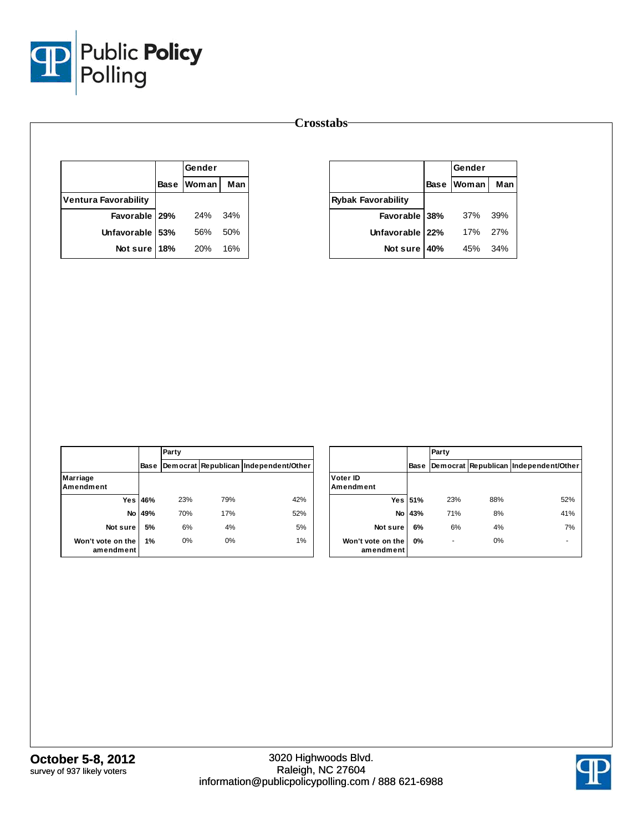

|                             | Gender     |     |
|-----------------------------|------------|-----|
|                             | Base Woman | Man |
| <b>Ventura Favorability</b> |            |     |
| Favorable   29%             | 24%        | 34% |
| Unfavorable 53%             | 56%        | 50% |
| Not sure 18%                | 20%        | 16% |

|                           |     | Gender       |     |  |
|---------------------------|-----|--------------|-----|--|
|                           |     | Base   Woman | Man |  |
| <b>Rybak Favorability</b> |     |              |     |  |
| Favorable 38%             |     | 37%          | 39% |  |
| Unfavorable   22%         |     | 17%          | 27% |  |
| Not sure                  | 40% | 45%          | 34% |  |

|                                |             | Party |     |                                       |  |
|--------------------------------|-------------|-------|-----|---------------------------------------|--|
|                                | <b>Base</b> |       |     | Democrat Republican Independent/Other |  |
| Marriage<br>Amendment          |             |       |     |                                       |  |
| <b>Yes</b>                     | 46%         | 23%   | 79% | 42%                                   |  |
| No                             | 49%         | 70%   | 17% | 52%                                   |  |
| Not sure                       | 5%          | 6%    | 4%  | 5%                                    |  |
| Won't vote on the<br>amendment | 1%          | $0\%$ | 0%  | 1%                                    |  |

|                                |         | Party |     |                                       |
|--------------------------------|---------|-------|-----|---------------------------------------|
|                                | Base    |       |     | Democrat Republican Independent/Other |
| Voter ID<br>Amendment          |         |       |     |                                       |
|                                | Yes 51% | 23%   | 88% | 52%                                   |
| No                             | 43%     | 71%   | 8%  | 41%                                   |
| Not sure                       | 6%      | 6%    | 4%  | 7%                                    |
| Won't vote on the<br>amendment | 0%      | ٠     | 0%  |                                       |

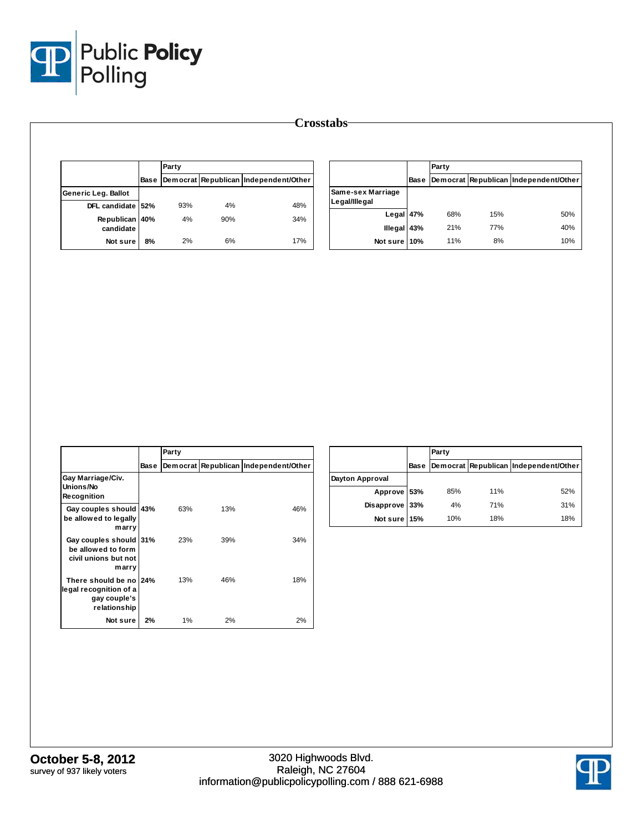

|                             |      | Party |     |                                       |
|-----------------------------|------|-------|-----|---------------------------------------|
|                             | Base |       |     | Democrat Republican Independent/Other |
| Generic Leg. Ballot         |      |       |     |                                       |
| DFL candidate 52%           |      | 93%   | 4%  | 48%                                   |
| Republican 40%<br>candidate |      | 4%    | 90% | 34%                                   |
| Not sure                    | 8%   | 2%    | 6%  | 17%                                   |

|                                    |      | Party |     |                                       |
|------------------------------------|------|-------|-----|---------------------------------------|
|                                    | Base |       |     | Democrat Republican Independent/Other |
| Same-sex Marriage<br>Legal/Illegal |      |       |     |                                       |
| Legal 47%                          |      | 68%   | 15% | 50%                                   |
| Illegal 43%                        |      | 21%   | 77% | 40%                                   |
| Not sure 10%                       |      | 11%   | 8%  | 10%                                   |

|                                                                                   |      | Party |     |                                       |
|-----------------------------------------------------------------------------------|------|-------|-----|---------------------------------------|
|                                                                                   | Base |       |     | Democrat Republican Independent/Other |
| Gay Marriage/Civ.<br>Unions/No<br>Recognition                                     |      |       |     |                                       |
| Gay couples should 43%<br>be allowed to legally<br>marry                          |      | 63%   | 13% | 46%                                   |
| Gay couples should 31%<br>be allowed to form<br>civil unions but not<br>marry     |      | 23%   | 39% | 34%                                   |
| There should be no 24%<br>llegal recognition of a<br>gay couple's<br>relationship |      | 13%   | 46% | 18%                                   |
| Not sure                                                                          | 2%   | 1%    | 2%  | 2%                                    |

|                 |      | Party |     |                                       |  |
|-----------------|------|-------|-----|---------------------------------------|--|
|                 | Base |       |     | Democrat Republican Independent/Other |  |
| Dayton Approval |      |       |     |                                       |  |
| Approve 53%     |      | 85%   | 11% | 52%                                   |  |
| Disapprove 33%  |      | 4%    | 71% | 31%                                   |  |
| Not sure 15%    |      | 10%   | 18% | 18%                                   |  |

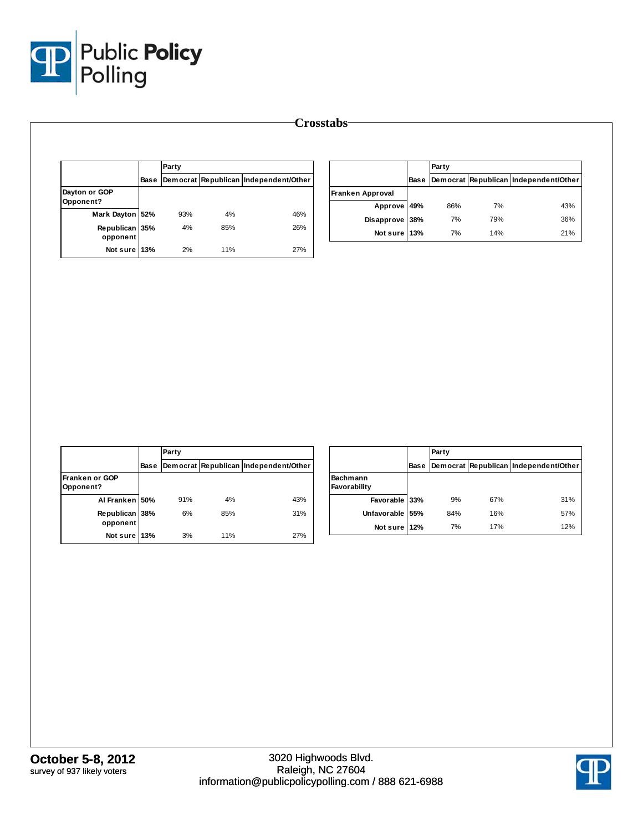

|                            | Base | Party |     |                                       |
|----------------------------|------|-------|-----|---------------------------------------|
|                            |      |       |     | Democrat Republican Independent/Other |
| Dayton or GOP<br>Opponent? |      |       |     |                                       |
| Mark Dayton 52%            |      | 93%   | 4%  | 46%                                   |
| Republican 35%<br>opponent |      | 4%    | 85% | 26%                                   |
| Not sure 13%               |      | 2%    | 11% | 27%                                   |

|                         |             | Party |     |                                       |
|-------------------------|-------------|-------|-----|---------------------------------------|
|                         | <b>Base</b> |       |     | Democrat Republican Independent/Other |
| <b>Franken Approval</b> |             |       |     |                                       |
| Approve 49%             |             | 86%   | 7%  | 43%                                   |
| Disapprove 38%          |             | 7%    | 79% | 36%                                   |
| Not sure 13%            |             | 7%    | 14% | 21%                                   |

|                             |      | Party |     |                                       |  |  |
|-----------------------------|------|-------|-----|---------------------------------------|--|--|
|                             | Base |       |     | Democrat Republican Independent/Other |  |  |
| Franken or GOP<br>Opponent? |      |       |     |                                       |  |  |
| Al Franken 50%              |      | 91%   | 4%  | 43%                                   |  |  |
| Republican 38%<br>opponent  |      | 6%    | 85% | 31%                                   |  |  |
| Not sure 13%                |      | 3%    | 11% | 27%                                   |  |  |

|                                 |             | Party |     |                                       |  |  |  |
|---------------------------------|-------------|-------|-----|---------------------------------------|--|--|--|
|                                 | <b>Base</b> |       |     | Democrat Republican Independent/Other |  |  |  |
| <b>Bachmann</b><br>Favorability |             |       |     |                                       |  |  |  |
| Favorable 33%                   |             | 9%    | 67% | 31%                                   |  |  |  |
| Unfavorable                     | 55%         | 84%   | 16% | 57%                                   |  |  |  |
| Not sure 12%                    |             | 7%    | 17% | 12%                                   |  |  |  |

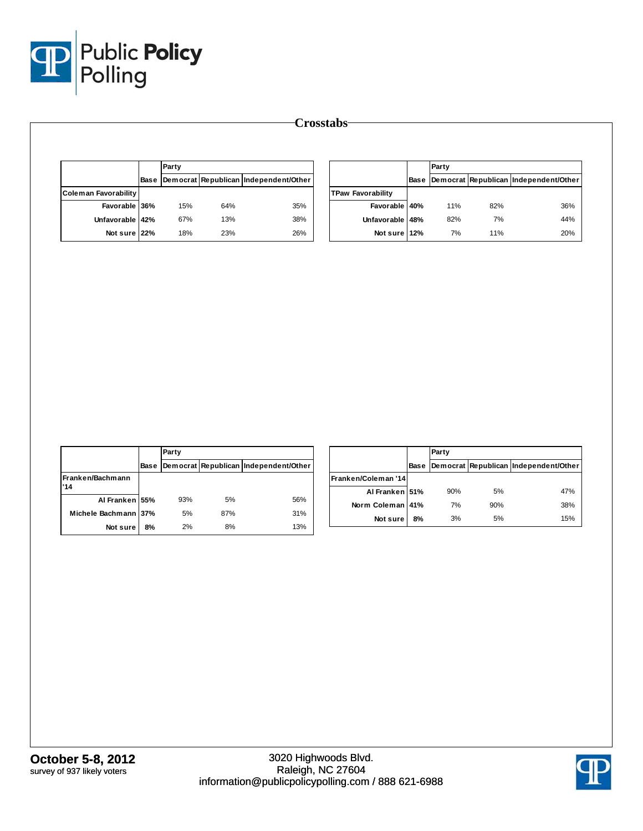

|                             |             | Party |     |                                            |                              |    | Party    |              |                                            |
|-----------------------------|-------------|-------|-----|--------------------------------------------|------------------------------|----|----------|--------------|--------------------------------------------|
|                             | <b>Base</b> |       |     | Democrat Republican Independent/Other      |                              |    |          |              | Base Democrat Republican Independent/Other |
| <b>Coleman Favorability</b> |             |       |     |                                            | <b>TPaw Favorability</b>     |    |          |              |                                            |
| Favorable 36%               |             | 15%   | 64% | 35%                                        | Favorable 40%                |    | 11%      | 82%          | 36%                                        |
| Unfavorable 42%             |             | 67%   | 13% | 38%                                        | Unfavorable 48%              |    | 82%      | 7%           | 44%                                        |
| Not sure 22%                |             | 18%   | 23% | 26%                                        | Not sure 12%                 |    | $7\%$    | 11%          | 20%                                        |
|                             |             |       |     |                                            |                              |    |          |              |                                            |
|                             |             | Party |     |                                            |                              |    | Party    |              |                                            |
|                             |             |       |     | Base Democrat Republican Independent/Other |                              |    |          |              | Base Democrat Republican Independent/Other |
| Franken/Bachmann<br>'14     |             |       |     |                                            | Franken/Coleman '14          |    |          |              |                                            |
| Al Franken 55%              |             | 93%   | 5%  | 56%                                        | Al Franken 51%               |    | 90%      | 5%           | 47%                                        |
| Michele Bachmann 37%        |             | 5%    | 87% | 31%                                        | Norm Coleman 41%<br>Not sure | 8% | 7%<br>3% | 90%<br>$5\%$ | 38%<br>15%                                 |

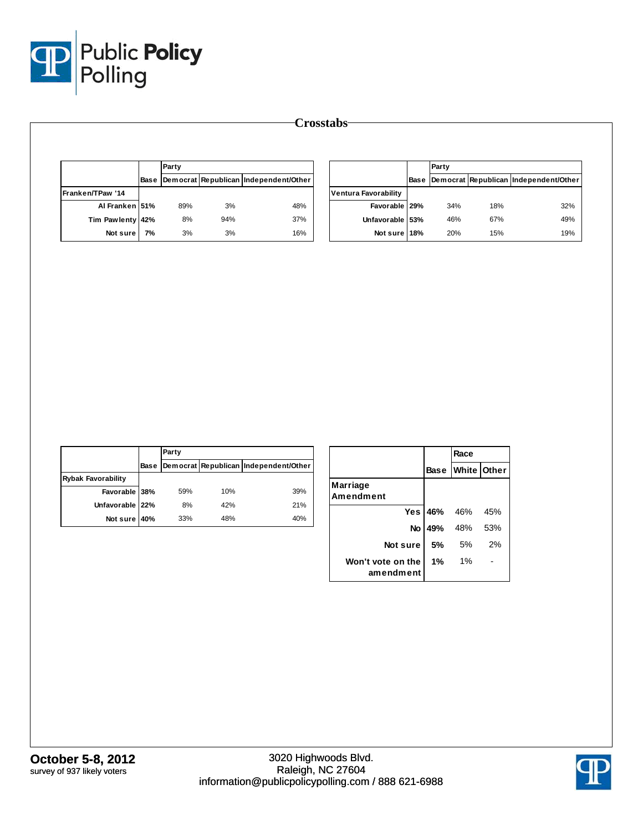

|                  |      | Party |     |                                       |            |
|------------------|------|-------|-----|---------------------------------------|------------|
|                  | Base |       |     | Democrat Republican Independent/Other |            |
| Franken/TPaw '14 |      |       |     |                                       | Ventura Fa |
| Al Franken 51%   |      | 89%   | 3%  | 48%                                   |            |
| Tim Pawlenty 42% |      | 8%    | 94% | 37%                                   | н          |
| Not sure         | 7%   | 3%    | 3%  | 16%                                   |            |

|                      |             | Party |     |                                       |  |  |  |
|----------------------|-------------|-------|-----|---------------------------------------|--|--|--|
|                      | <b>Base</b> |       |     | Democrat Republican Independent/Other |  |  |  |
| Ventura Favorability |             |       |     |                                       |  |  |  |
| Favorable 29%        |             | 34%   | 18% | 32%                                   |  |  |  |
| Unfavorable 53%      |             | 46%   | 67% | 49%                                   |  |  |  |
| Not sure 18%         |             | 20%   | 15% | 19%                                   |  |  |  |

|                           |      | Party |     |                                       |  |  |
|---------------------------|------|-------|-----|---------------------------------------|--|--|
|                           | Base |       |     | Democrat Republican Independent/Other |  |  |
| <b>Rybak Favorability</b> |      |       |     |                                       |  |  |
| Favorable 38%             |      | 59%   | 10% | 39%                                   |  |  |
| Unfavorable 22%           |      | 8%    | 42% | 21%                                   |  |  |
| Not sure 40%              |      | 33%   | 48% | 40%                                   |  |  |

|                                |             | Race             |     |  |
|--------------------------------|-------------|------------------|-----|--|
|                                |             | Base White Other |     |  |
| <b>Marriage</b><br>Amendment   |             |                  |     |  |
|                                | Yes 46% 46% |                  | 45% |  |
| No                             | 49% 48%     |                  | 53% |  |
| Not sure                       | 5%          | 5%               | 2%  |  |
| Won't vote on the<br>amendment | $1\%$       | 1%               |     |  |

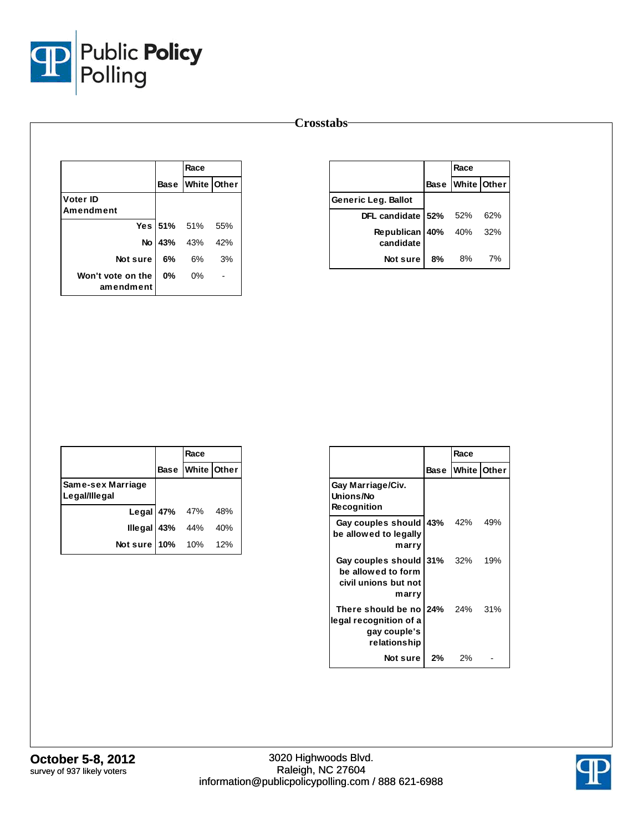

| Crosstabs |
|-----------|
|-----------|

|                                |       | Race              |  |
|--------------------------------|-------|-------------------|--|
|                                |       | Base White Other  |  |
| Voter ID<br>Amendment          |       |                   |  |
|                                |       | Yes 51% 51% 55%   |  |
|                                |       | No 43% 43% 42%    |  |
| Not sure                       |       | $6\%$ $6\%$ $3\%$ |  |
| Won't vote on the<br>amendment | $0\%$ | 0%                |  |

|                                 |    | Race             |     |
|---------------------------------|----|------------------|-----|
|                                 |    | Base White Other |     |
| Generic Leg. Ballot             |    |                  |     |
| DFL candidate 52% 52%           |    |                  | 62% |
| Republican 40% 40%<br>candidate |    |                  | 32% |
| Not sure                        | 8% | 8%               | 7%  |

|                                    | Race                                |  |
|------------------------------------|-------------------------------------|--|
|                                    | Base White Other                    |  |
| Same-sex Marriage<br>Legal/Illegal |                                     |  |
|                                    | Legal 47% 47% 48%                   |  |
|                                    | <b>Illegal</b> $43\%$ $44\%$ $40\%$ |  |
| Not sure 10% 10% 12%               |                                     |  |

|                                                                                      |    | Race                    |       |
|--------------------------------------------------------------------------------------|----|-------------------------|-------|
|                                                                                      |    | <b>Base White Other</b> |       |
| Gay Marriage/Civ.<br>Unions/No<br><b>Recognition</b>                                 |    |                         |       |
| Gay couples should 43% 42%<br>be allowed to legally<br>marry                         |    |                         | - 49% |
| Gay couples should 31% 32%<br>be allowed to form<br>civil unions but not<br>marry    |    |                         | 19%   |
| There should be no 24% 24%<br>legal recognition of a<br>gay couple's<br>relationship |    |                         | 31%   |
| Notsure                                                                              | 2% | 2%                      |       |

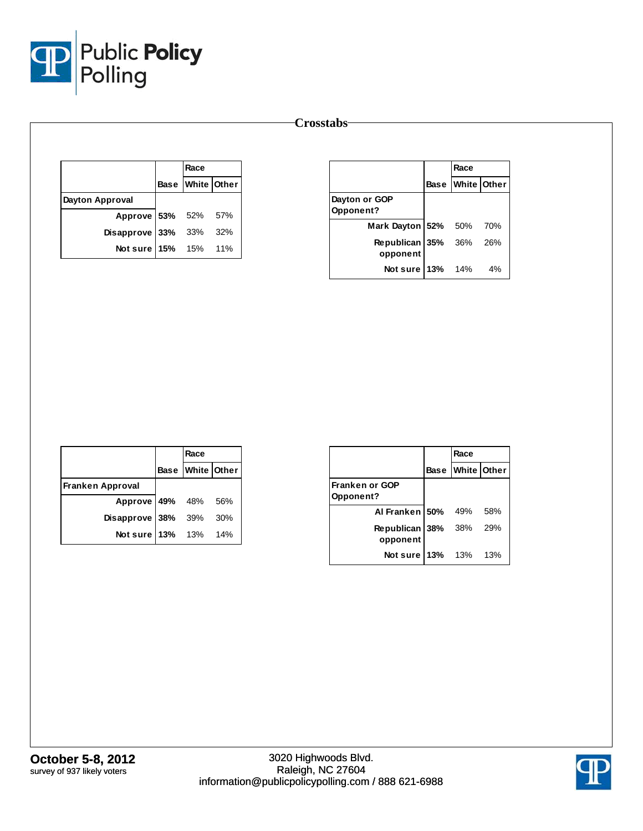

|                        | Race             |  |
|------------------------|------------------|--|
|                        | Base White Other |  |
| Dayton Approval        |                  |  |
| Approve 53% 52% 57%    |                  |  |
| Disapprove 33% 33% 32% |                  |  |
| Not sure 15% 15% 11%   |                  |  |

|                                   | Race             |     |  |
|-----------------------------------|------------------|-----|--|
|                                   | Base White Other |     |  |
| Dayton or GOP<br><b>Opponent?</b> |                  |     |  |
| Mark Dayton   52% 50% 70%         |                  |     |  |
| Republican 35% 36%<br>opponent    |                  | 26% |  |
| Not sure 13% 14%                  |                  | 4%  |  |

|                         | Race             |  |
|-------------------------|------------------|--|
|                         | Base White Other |  |
| <b>Franken Approval</b> |                  |  |
| Approve 49% 48% 56%     |                  |  |
| Disapprove 38% 39% 30%  |                  |  |
| Not sure 13% 13% 14%    |                  |  |

|                                    | Race |                  |
|------------------------------------|------|------------------|
|                                    |      | Base White Other |
| <b>Franken or GOP</b><br>Opponent? |      |                  |
| Al Franken 50% 49% 58%             |      |                  |
| Republican 38% 38%<br>opponent     |      | 29%              |
| Not sure   13% 13%                 |      | 13%              |

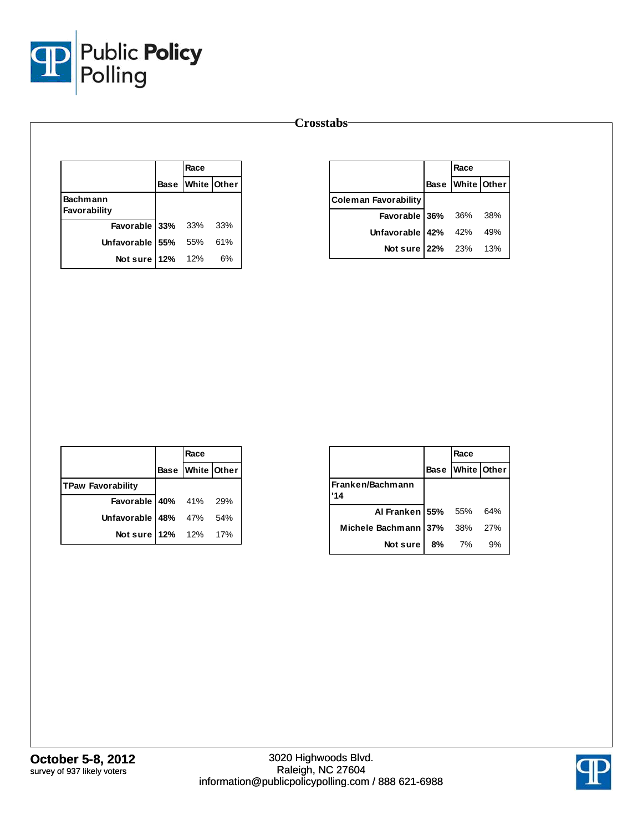

|                                 | Race             |     |  |
|---------------------------------|------------------|-----|--|
|                                 | Base White Other |     |  |
| <b>Bachmann</b><br>Favorability |                  |     |  |
| Favorable $33\%$ 33%            |                  | 33% |  |
| Unfavorable 55% 55%             |                  | 61% |  |
| Not sure   12% 12%              |                  | 6%  |  |

|                             | Race             |  |
|-----------------------------|------------------|--|
|                             | Base White Other |  |
| <b>Coleman Favorability</b> |                  |  |
| Favorable 36% 36% 38%       |                  |  |
| Unfavorable 42% 42% 49%     |                  |  |
| Not sure 22% 23% 13%        |                  |  |

|                              | Race             |  |  |
|------------------------------|------------------|--|--|
|                              | Base White Other |  |  |
| <b>TPaw Favorability</b>     |                  |  |  |
| <b>Favorable 40%</b> 41% 29% |                  |  |  |
| Unfavorable $48\%$ 47% 54%   |                  |  |  |
| Not sure 12% 12% 17%         |                  |  |  |

|                              |       | Race |                  |
|------------------------------|-------|------|------------------|
|                              |       |      | Base White Other |
| Franken/Bachmann<br>'14      |       |      |                  |
| Al Franken   55% 55% 64%     |       |      |                  |
| Michele Bachmann 37% 38% 27% |       |      |                  |
| Notsure                      | 8% 7% |      | 9%               |

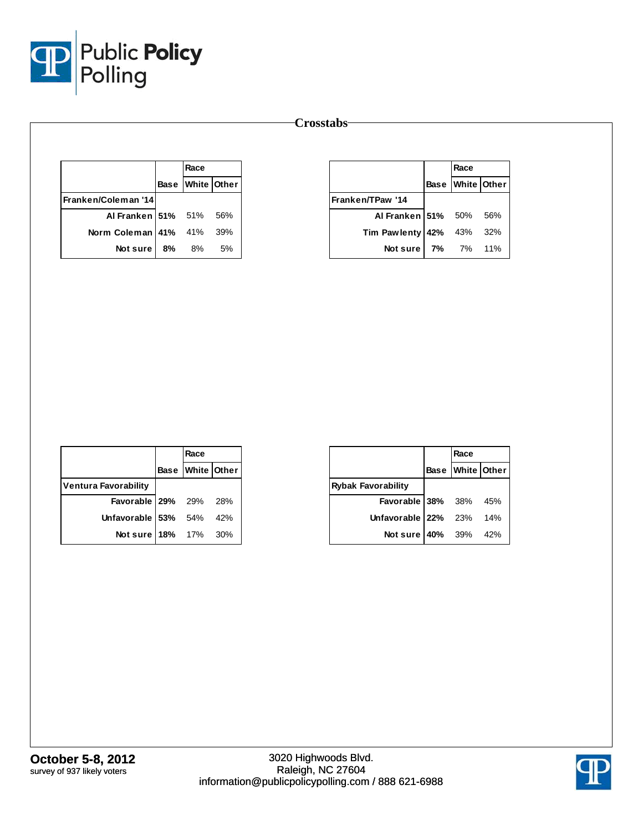

|                          | Race             |    |
|--------------------------|------------------|----|
|                          | Base White Other |    |
| Franken/Coleman '14      |                  |    |
| Al Franken 51% 51% 56%   |                  |    |
| Norm Coleman 41% 41% 39% |                  |    |
| Notsure 8%               | 8%               | 5% |

|                                 | Race             |  |
|---------------------------------|------------------|--|
|                                 | Base White Other |  |
| Franken/TPaw '14                |                  |  |
| Al Franken 51% 50% 56%          |                  |  |
| <b>Tim Pawlenty 42%</b> 43% 32% |                  |  |
| Not sure   7% 7% 11%            |                  |  |

|                              | Race                    |       |  |
|------------------------------|-------------------------|-------|--|
|                              | <b>Base White Other</b> |       |  |
| <b>Ventura Favorability</b>  |                         |       |  |
| <b>Favorable 29%</b> 29% 28% |                         |       |  |
| Unfavorable   53% 54% 42%    |                         |       |  |
| Not sure   18% 17%           |                         | - 30% |  |

|                                                                | Race |                  |
|----------------------------------------------------------------|------|------------------|
|                                                                |      | Base White Other |
| <b>Rybak Favorability</b>                                      |      |                  |
| <b>Favorable 38%</b> 38% 45%<br><b>Unfavorable 22%</b> 23% 14% |      |                  |
|                                                                |      |                  |
| Not sure 40% 39% 42%                                           |      |                  |

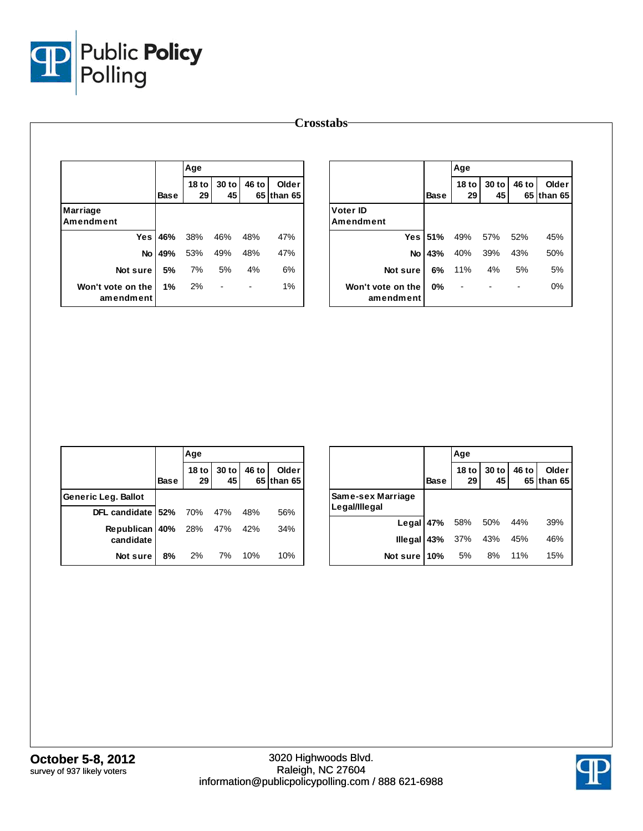

|                                |             | Age                    |                |                |                     |                                |             | Age                      |                        |       |                     |
|--------------------------------|-------------|------------------------|----------------|----------------|---------------------|--------------------------------|-------------|--------------------------|------------------------|-------|---------------------|
|                                | <b>Base</b> | 18 <sub>to</sub><br>29 | 30 to<br>45    | 46 to          | Older<br>65 than 65 |                                | <b>Base</b> | 18 <sub>to</sub><br>29   | 30 <sub>to</sub><br>45 | 46 to | Older<br>65 than 65 |
| <b>Marriage</b><br>Amendment   |             |                        |                |                |                     | Voter ID<br>Amendment          |             |                          |                        |       |                     |
| <b>Yes</b>                     | 46%         | 38%                    | 46%            | 48%            | 47%                 |                                | Yes 51%     | 49%                      | 57%                    | 52%   | 45%                 |
| No                             | 49%         | 53%                    | 49%            | 48%            | 47%                 | No                             | 43%         | 40%                      | 39%                    | 43%   | 50%                 |
| Not sure                       | 5%          | 7%                     | 5%             | 4%             | 6%                  | Not sure                       | 6%          | 11%                      | 4%                     | 5%    | 5%                  |
| Won't vote on the<br>amendment | 1%          | 2%                     | $\blacksquare$ | $\blacksquare$ | 1%                  | Won't vote on the<br>amendment | 0%          | $\overline{\phantom{a}}$ | $\blacksquare$         |       | 0%                  |

|                                  |             | Age             |                   |               |                  |
|----------------------------------|-------------|-----------------|-------------------|---------------|------------------|
|                                  | <b>Base</b> | 29              | 18 to 30 to<br>45 | 46 to<br>65 I | Older<br>than 65 |
| Generic Leg. Ballot              |             |                 |                   |               |                  |
| <b>DFL candidate 52%</b> 70% 47% |             |                 |                   | 48%           | 56%              |
| <b>Republican</b><br>candidate   |             | 40% 28% 47% 42% |                   |               | 34%              |
| Not sure                         | 8%          | 2%              | 7%                | 10%           | 10%              |

|                                    |             | Age                     |                                                                           |       |                     |
|------------------------------------|-------------|-------------------------|---------------------------------------------------------------------------|-------|---------------------|
|                                    | <b>Base</b> |                         | $\begin{array}{c c} 18 \text{ to} & 30 \text{ to} \\ 29 & 45 \end{array}$ | 46 to | Older<br>65 than 65 |
| Same-sex Marriage<br>Legal/Illegal |             |                         |                                                                           |       |                     |
|                                    |             | Legal 47% 58% 50% 44%   |                                                                           |       | 39%                 |
|                                    |             | Illegal 43% 37% 43% 45% |                                                                           |       | 46%                 |
| Not sure 10% 5% 8% 11%             |             |                         |                                                                           |       | 15%                 |

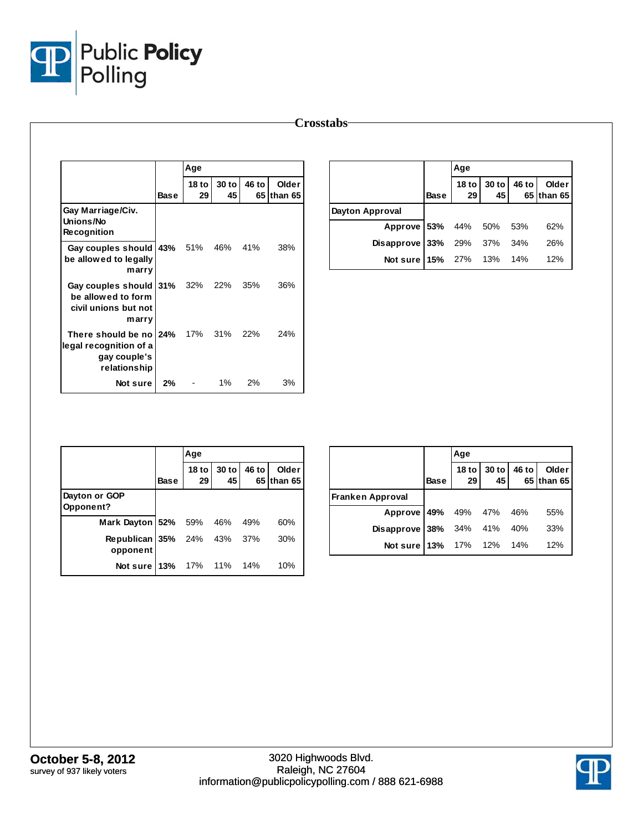

**relationship Not sure**

|                                                                               |             |                        |               |       | Crosstabs           |
|-------------------------------------------------------------------------------|-------------|------------------------|---------------|-------|---------------------|
|                                                                               |             | Age                    |               |       |                     |
|                                                                               | <b>Base</b> | 18 <sub>to</sub><br>29 | $30$ to<br>45 | 46 to | Older<br>65 than 65 |
| Gay Marriage/Civ.<br>Unions/No<br><b>Recognition</b>                          |             |                        |               |       |                     |
| Gay couples should   43%<br>be allowed to legally<br>marry                    |             | 51%                    | 46%           | 41%   | 38%                 |
| Gay couples should 31%<br>be allowed to form<br>civil unions but not<br>marry |             | 32%                    | 22%           | 35%   | 36%                 |
| There should be no 24%<br>legal recognition of a<br>gay couple's              |             | 17%                    | 31%           | 22%   | 24%                 |

|                                        |             | Age |                   |       |                     |
|----------------------------------------|-------------|-----|-------------------|-------|---------------------|
|                                        | <b>Base</b> | 29  | 18 to 30 to<br>45 | 46 to | Older<br>65 than 65 |
| Dayton or GOP<br>Opponent?             |             |     |                   |       |                     |
| Mark Dayton   52% 59% 46%              |             |     |                   | 49%   | 60%                 |
| Republican 35% 24% 43% 37%<br>opponent |             |     |                   |       | 30%                 |
| Not sure 13% 17% 11%                   |             |     |                   | 14%   | 10%                 |

**2%** - 1% 2% 3%

|                            |             | Age |                            |                     |
|----------------------------|-------------|-----|----------------------------|---------------------|
|                            | <b>Base</b> |     | 18 to 30 to 46 to 29 45 65 | Older<br>65 than 65 |
| <b>Franken Approval</b>    |             |     |                            |                     |
| Approve 49% 49% 47% 46%    |             |     |                            | 55%                 |
| Disapprove 38% 34% 41% 40% |             |     |                            | 33%                 |
| Not sure 13% 17% 12% 14%   |             |     |                            | 12%                 |

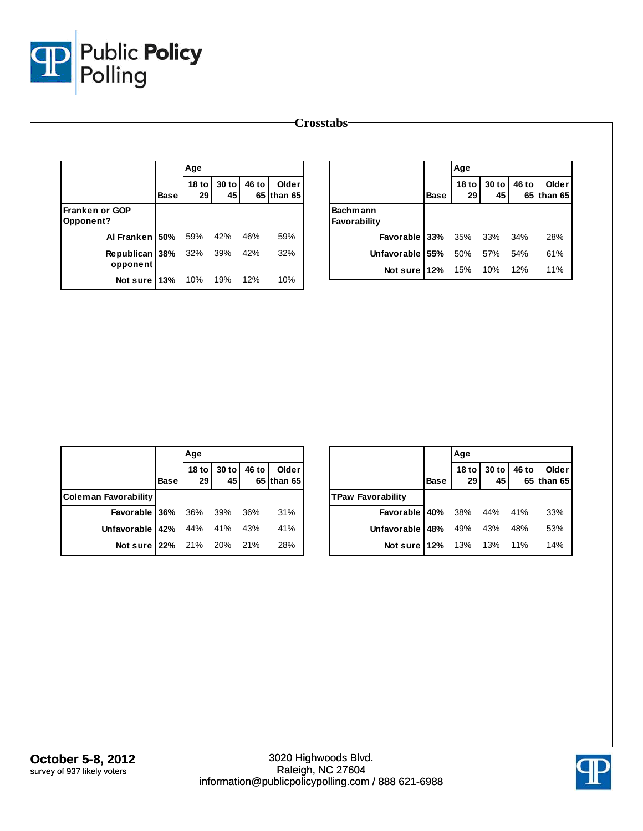

|                                    |             | Age                    |               |       |                     |                                 |             | Age |                   |       |                     |
|------------------------------------|-------------|------------------------|---------------|-------|---------------------|---------------------------------|-------------|-----|-------------------|-------|---------------------|
|                                    | <b>Base</b> | 18 <sub>to</sub><br>29 | $30$ to<br>45 | 46 to | Older<br>65 than 65 |                                 | <b>Base</b> | 29  | 18 to 30 to<br>45 | 46 to | Older<br>65 than 65 |
| <b>Franken or GOP</b><br>Opponent? |             |                        |               |       |                     | <b>Bachmann</b><br>Favorability |             |     |                   |       |                     |
| Al Franken 50%                     |             | 59%                    | 42%           | 46%   | 59%                 | <b>Favorable</b>                | 33%         | 35% | 33%               | 34%   | 28%                 |
| Republican 38%                     |             | 32%                    | 39%           | 42%   | 32%                 | Unfavorable 55%                 |             | 50% | 57%               | 54%   | 61%                 |
| opponent<br>Not sure 13%           |             | 10%                    | 19%           | 12%   | 10%                 | Not sure                        | 12%         | 15% | 10%               | 12%   | 11%                 |

|                                  |             | Age |                            |                     |
|----------------------------------|-------------|-----|----------------------------|---------------------|
|                                  | <b>Base</b> |     | 18 to 30 to 46 to 29 45 65 | Older<br>65 than 65 |
| <b>Coleman Favorability</b>      |             |     |                            |                     |
| <b>Favorable 36%</b> 36% 39% 36% |             |     |                            | 31%                 |
| Unfavorable 42% 44% 41% 43%      |             |     |                            | 41%                 |
| Not sure 22% 21% 20% 21%         |             |     |                            | 28%                 |

|                                 |             | Age             |                         |                     |
|---------------------------------|-------------|-----------------|-------------------------|---------------------|
|                                 | <b>Base</b> | 29 <sub>l</sub> | 18 to 30 to 46 to<br>45 | Older<br>65 than 65 |
| TPaw Favorability               |             |                 |                         |                     |
| Favorable 40% 38% 44% 41%       |             |                 |                         | 33%                 |
| Unfavorable 48% 49% 43% 48%     |             |                 |                         | 53%                 |
| <b>Not sure 12%</b> 13% 13% 11% |             |                 |                         | 14%                 |

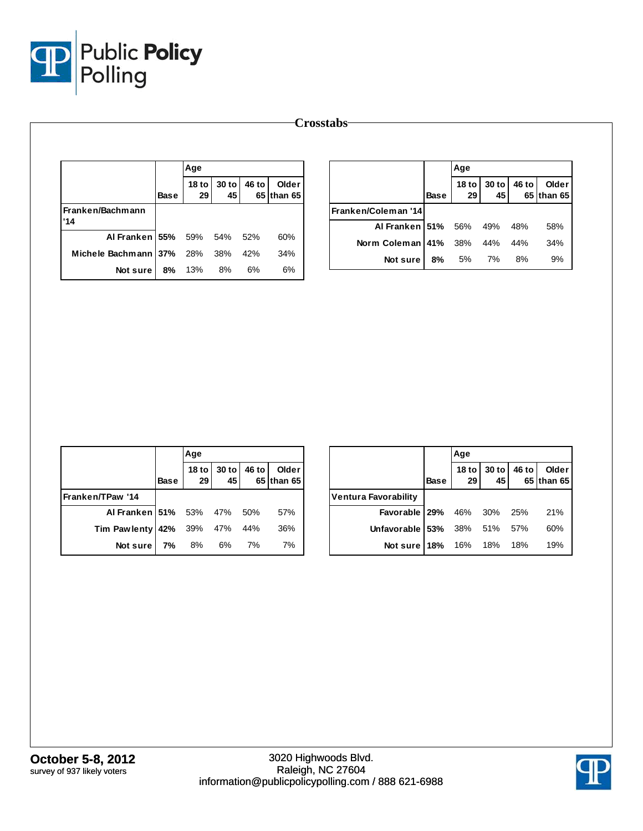

|                      |             | Age           |             |       |                            |                     |             | Age           |             |       |                     |
|----------------------|-------------|---------------|-------------|-------|----------------------------|---------------------|-------------|---------------|-------------|-------|---------------------|
|                      | <b>Base</b> | $18$ to<br>29 | 30 to<br>45 | 46 to | <b>Older</b><br>65 than 65 |                     | <b>Base</b> | $18$ to<br>29 | 30 to<br>45 | 46 to | Older<br>65 than 65 |
| Franken/Bachmann     |             |               |             |       |                            | Franken/Coleman '14 |             |               |             |       |                     |
| 14                   |             |               |             |       |                            | Al Franken 51%      |             | 56%           | 49%         | 48%   | 58%                 |
| Al Franken 55%       |             | 59%           | 54%         | 52%   | 60%                        | Norm Coleman 41%    |             | 38%           | 44%         | 44%   | 34%                 |
| Michele Bachmann 37% |             | 28%           | 38%         | 42%   | 34%                        | Not sure            | 8%          | 5%            | 7%          | 8%    | 9%                  |
| Not sure             | 8%          | 13%           | 8%          | 6%    | 6%                         |                     |             |               |             |       |                     |

|                                 |      | Age |  |                                             |
|---------------------------------|------|-----|--|---------------------------------------------|
|                                 | Base |     |  | 18 to 30 to 46 to Older<br>29 45 65 than 65 |
| Franken/TPaw '14                |      |     |  |                                             |
| Al Franken 31% 53% 47% 50%      |      |     |  | 57%                                         |
| Tim Pawlenty $42\%$ 39% 47% 44% |      |     |  | 36%                                         |
| Not sure 7% 8% 6% 7%            |      |     |  | 7%                                          |

|                                  |      | Age |                       |       |                     |
|----------------------------------|------|-----|-----------------------|-------|---------------------|
|                                  | Base | 29  | 18 to   30 to  <br>45 | 46 to | Older<br>65 than 65 |
| Ventura Favorability             |      |     |                       |       |                     |
| <b>Favorable 29%</b> 46% 30% 25% |      |     |                       |       | 21%                 |
| Unfavorable 53% 38% 51% 57%      |      |     |                       |       | 60%                 |
| <b>Not sure 18%</b> 16% 18%      |      |     |                       | 18%   | 19%                 |